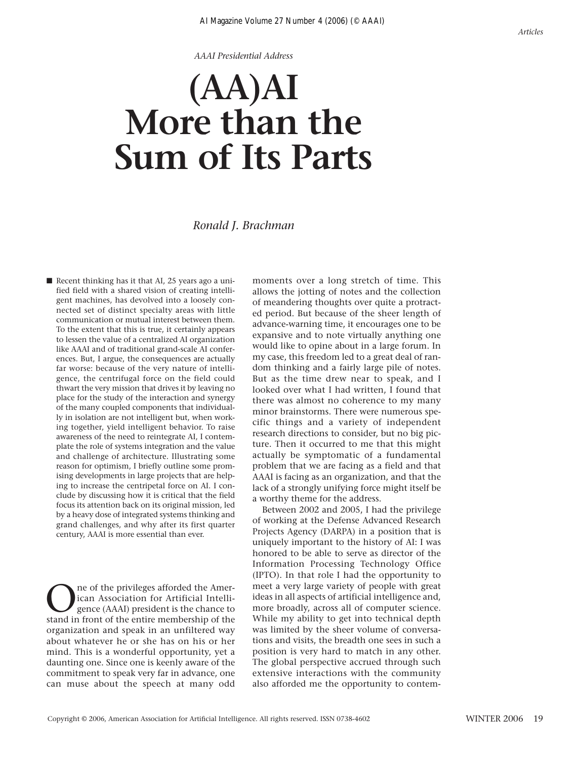*AAAI Presidential Address*

# **(AA)AI More than the Sum of Its Parts**

#### *Ronald J. Brachman*

■ Recent thinking has it that AI, 25 years ago a unified field with a shared vision of creating intelligent machines, has devolved into a loosely connected set of distinct specialty areas with little communication or mutual interest between them. To the extent that this is true, it certainly appears to lessen the value of a centralized AI organization like AAAI and of traditional grand-scale AI conferences. But, I argue, the consequences are actually far worse: because of the very nature of intelligence, the centrifugal force on the field could thwart the very mission that drives it by leaving no place for the study of the interaction and synergy of the many coupled components that individually in isolation are not intelligent but, when working together, yield intelligent behavior. To raise awareness of the need to reintegrate AI, I contemplate the role of systems integration and the value and challenge of architecture. Illustrating some reason for optimism, I briefly outline some promising developments in large projects that are helping to increase the centripetal force on AI. I conclude by discussing how it is critical that the field focus its attention back on its original mission, led by a heavy dose of integrated systems thinking and grand challenges, and why after its first quarter century, AAAI is more essential than ever.

The of the privileges afforded the Amer-<br>ican Association for Artificial Intelli-<br>gence (AAAI) president is the chance to<br>stand in front of the entire membership of the ican Association for Artificial Intelligence (AAAI) president is the chance to stand in front of the entire membership of the organization and speak in an unfiltered way about whatever he or she has on his or her mind. This is a wonderful opportunity, yet a daunting one. Since one is keenly aware of the commitment to speak very far in advance, one can muse about the speech at many odd moments over a long stretch of time. This allows the jotting of notes and the collection of meandering thoughts over quite a protracted period. But because of the sheer length of advance-warning time, it encourages one to be expansive and to note virtually anything one would like to opine about in a large forum. In my case, this freedom led to a great deal of random thinking and a fairly large pile of notes. But as the time drew near to speak, and I looked over what I had written, I found that there was almost no coherence to my many minor brainstorms. There were numerous specific things and a variety of independent research directions to consider, but no big picture. Then it occurred to me that this might actually be symptomatic of a fundamental problem that we are facing as a field and that AAAI is facing as an organization, and that the lack of a strongly unifying force might itself be a worthy theme for the address.

Between 2002 and 2005, I had the privilege of working at the Defense Advanced Research Projects Agency (DARPA) in a position that is uniquely important to the history of AI: I was honored to be able to serve as director of the Information Processing Technology Office (IPTO). In that role I had the opportunity to meet a very large variety of people with great ideas in all aspects of artificial intelligence and, more broadly, across all of computer science. While my ability to get into technical depth was limited by the sheer volume of conversations and visits, the breadth one sees in such a position is very hard to match in any other. The global perspective accrued through such extensive interactions with the community also afforded me the opportunity to contem-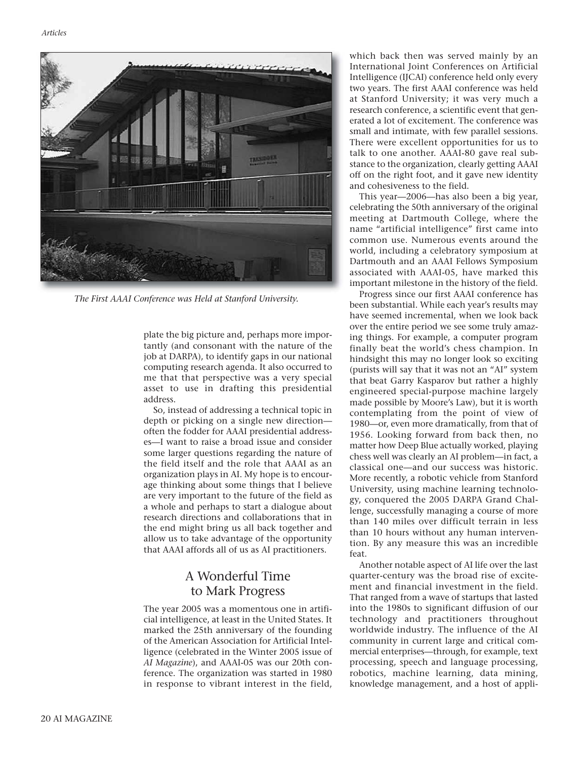

*The First AAAI Conference was Held at Stanford University.*

plate the big picture and, perhaps more importantly (and consonant with the nature of the job at DARPA), to identify gaps in our national computing research agenda. It also occurred to me that that perspective was a very special asset to use in drafting this presidential address.

So, instead of addressing a technical topic in depth or picking on a single new direction often the fodder for AAAI presidential addresses—I want to raise a broad issue and consider some larger questions regarding the nature of the field itself and the role that AAAI as an organization plays in AI. My hope is to encourage thinking about some things that I believe are very important to the future of the field as a whole and perhaps to start a dialogue about research directions and collaborations that in the end might bring us all back together and allow us to take advantage of the opportunity that AAAI affords all of us as AI practitioners.

## A Wonderful Time to Mark Progress

The year 2005 was a momentous one in artificial intelligence, at least in the United States. It marked the 25th anniversary of the founding of the American Association for Artificial Intelligence (celebrated in the Winter 2005 issue of *AI Magazine*), and AAAI-05 was our 20th conference. The organization was started in 1980 in response to vibrant interest in the field, which back then was served mainly by an International Joint Conferences on Artificial Intelligence (IJCAI) conference held only every two years. The first AAAI conference was held at Stanford University; it was very much a research conference, a scientific event that generated a lot of excitement. The conference was small and intimate, with few parallel sessions. There were excellent opportunities for us to talk to one another. AAAI-80 gave real substance to the organization, clearly getting AAAI off on the right foot, and it gave new identity and cohesiveness to the field.

This year—2006—has also been a big year, celebrating the 50th anniversary of the original meeting at Dartmouth College, where the name "artificial intelligence" first came into common use. Numerous events around the world, including a celebratory symposium at Dartmouth and an AAAI Fellows Symposium associated with AAAI-05, have marked this important milestone in the history of the field.

Progress since our first AAAI conference has been substantial. While each year's results may have seemed incremental, when we look back over the entire period we see some truly amazing things. For example, a computer program finally beat the world's chess champion. In hindsight this may no longer look so exciting (purists will say that it was not an "AI" system that beat Garry Kasparov but rather a highly engineered special-purpose machine largely made possible by Moore's Law), but it is worth contemplating from the point of view of 1980—or, even more dramatically, from that of 1956. Looking forward from back then, no matter how Deep Blue actually worked, playing chess well was clearly an AI problem—in fact, a classical one—and our success was historic. More recently, a robotic vehicle from Stanford University, using machine learning technology, conquered the 2005 DARPA Grand Challenge, successfully managing a course of more than 140 miles over difficult terrain in less than 10 hours without any human intervention. By any measure this was an incredible feat.

Another notable aspect of AI life over the last quarter-century was the broad rise of excitement and financial investment in the field. That ranged from a wave of startups that lasted into the 1980s to significant diffusion of our technology and practitioners throughout worldwide industry. The influence of the AI community in current large and critical commercial enterprises—through, for example, text processing, speech and language processing, robotics, machine learning, data mining, knowledge management, and a host of appli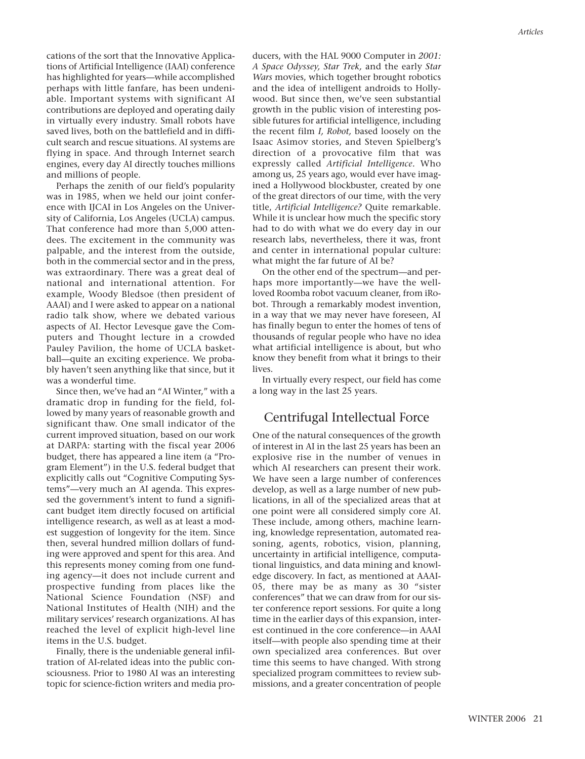cations of the sort that the Innovative Applications of Artificial Intelligence (IAAI) conference has highlighted for years—while accomplished perhaps with little fanfare, has been undeniable. Important systems with significant AI contributions are deployed and operating daily in virtually every industry. Small robots have saved lives, both on the battlefield and in difficult search and rescue situations. AI systems are flying in space. And through Internet search engines, every day AI directly touches millions and millions of people.

Perhaps the zenith of our field's popularity was in 1985, when we held our joint conference with IJCAI in Los Angeles on the University of California, Los Angeles (UCLA) campus. That conference had more than 5,000 attendees. The excitement in the community was palpable, and the interest from the outside, both in the commercial sector and in the press, was extraordinary. There was a great deal of national and international attention. For example, Woody Bledsoe (then president of AAAI) and I were asked to appear on a national radio talk show, where we debated various aspects of AI. Hector Levesque gave the Computers and Thought lecture in a crowded Pauley Pavilion, the home of UCLA basketball—quite an exciting experience. We probably haven't seen anything like that since, but it was a wonderful time.

Since then, we've had an "AI Winter," with a dramatic drop in funding for the field, followed by many years of reasonable growth and significant thaw. One small indicator of the current improved situation, based on our work at DARPA: starting with the fiscal year 2006 budget, there has appeared a line item (a "Program Element") in the U.S. federal budget that explicitly calls out "Cognitive Computing Systems"—very much an AI agenda. This expressed the government's intent to fund a significant budget item directly focused on artificial intelligence research, as well as at least a modest suggestion of longevity for the item. Since then, several hundred million dollars of funding were approved and spent for this area. And this represents money coming from one funding agency—it does not include current and prospective funding from places like the National Science Foundation (NSF) and National Institutes of Health (NIH) and the military services' research organizations. AI has reached the level of explicit high-level line items in the U.S. budget.

Finally, there is the undeniable general infiltration of AI-related ideas into the public consciousness. Prior to 1980 AI was an interesting topic for science-fiction writers and media producers, with the HAL 9000 Computer in *2001: A Space Odyssey, Star Trek,* and the early *Star Wars* movies, which together brought robotics and the idea of intelligent androids to Hollywood. But since then, we've seen substantial growth in the public vision of interesting possible futures for artificial intelligence, including the recent film *I, Robot,* based loosely on the Isaac Asimov stories, and Steven Spielberg's direction of a provocative film that was expressly called *Artificial Intelligence.* Who among us, 25 years ago, would ever have imagined a Hollywood blockbuster, created by one of the great directors of our time, with the very title, *Artificial Intelligence?* Quite remarkable. While it is unclear how much the specific story had to do with what we do every day in our research labs, nevertheless, there it was, front and center in international popular culture: what might the far future of AI be?

On the other end of the spectrum—and perhaps more importantly—we have the wellloved Roomba robot vacuum cleaner, from iRobot. Through a remarkably modest invention, in a way that we may never have foreseen, AI has finally begun to enter the homes of tens of thousands of regular people who have no idea what artificial intelligence is about, but who know they benefit from what it brings to their lives.

In virtually every respect, our field has come a long way in the last 25 years.

## Centrifugal Intellectual Force

One of the natural consequences of the growth of interest in AI in the last 25 years has been an explosive rise in the number of venues in which AI researchers can present their work. We have seen a large number of conferences develop, as well as a large number of new publications, in all of the specialized areas that at one point were all considered simply core AI. These include, among others, machine learning, knowledge representation, automated reasoning, agents, robotics, vision, planning, uncertainty in artificial intelligence, computational linguistics, and data mining and knowledge discovery. In fact, as mentioned at AAAI-05, there may be as many as 30 "sister conferences" that we can draw from for our sister conference report sessions. For quite a long time in the earlier days of this expansion, interest continued in the core conference—in AAAI itself—with people also spending time at their own specialized area conferences. But over time this seems to have changed. With strong specialized program committees to review submissions, and a greater concentration of people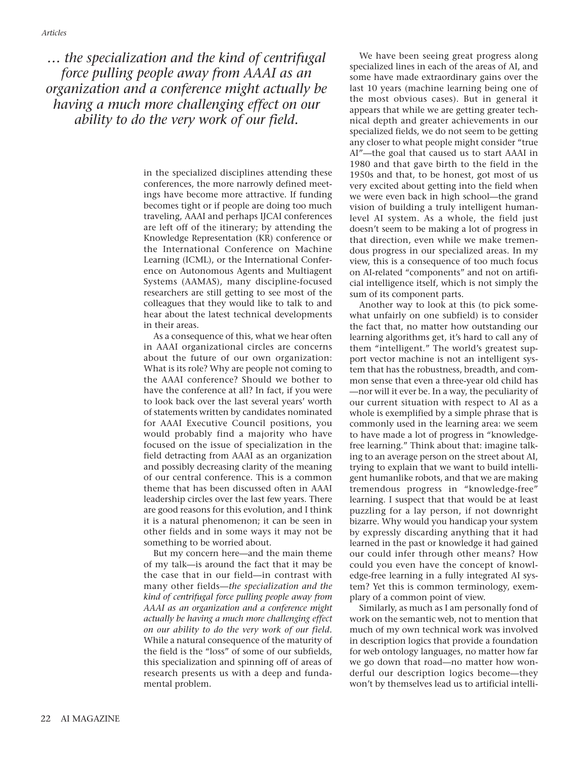*… the specialization and the kind of centrifugal force pulling people away from AAAI as an organization and a conference might actually be having a much more challenging effect on our ability to do the very work of our field.* 

> in the specialized disciplines attending these conferences, the more narrowly defined meetings have become more attractive. If funding becomes tight or if people are doing too much traveling, AAAI and perhaps IJCAI conferences are left off of the itinerary; by attending the Knowledge Representation (KR) conference or the International Conference on Machine Learning (ICML), or the International Conference on Autonomous Agents and Multiagent Systems (AAMAS), many discipline-focused researchers are still getting to see most of the colleagues that they would like to talk to and hear about the latest technical developments in their areas.

> As a consequence of this, what we hear often in AAAI organizational circles are concerns about the future of our own organization: What is its role? Why are people not coming to the AAAI conference? Should we bother to have the conference at all? In fact, if you were to look back over the last several years' worth of statements written by candidates nominated for AAAI Executive Council positions, you would probably find a majority who have focused on the issue of specialization in the field detracting from AAAI as an organization and possibly decreasing clarity of the meaning of our central conference. This is a common theme that has been discussed often in AAAI leadership circles over the last few years. There are good reasons for this evolution, and I think it is a natural phenomenon; it can be seen in other fields and in some ways it may not be something to be worried about.

> But my concern here—and the main theme of my talk—is around the fact that it may be the case that in our field—in contrast with many other fields—*the specialization and the kind of centrifugal force pulling people away from AAAI as an organization and a conference might actually be having a much more challenging effect on our ability to do the very work of our field.* While a natural consequence of the maturity of the field is the "loss" of some of our subfields, this specialization and spinning off of areas of research presents us with a deep and fundamental problem.

We have been seeing great progress along specialized lines in each of the areas of AI, and some have made extraordinary gains over the last 10 years (machine learning being one of the most obvious cases). But in general it appears that while we are getting greater technical depth and greater achievements in our specialized fields, we do not seem to be getting any closer to what people might consider "true AI"—the goal that caused us to start AAAI in 1980 and that gave birth to the field in the 1950s and that, to be honest, got most of us very excited about getting into the field when we were even back in high school—the grand vision of building a truly intelligent humanlevel AI system. As a whole, the field just doesn't seem to be making a lot of progress in that direction, even while we make tremendous progress in our specialized areas. In my view, this is a consequence of too much focus on AI-related "components" and not on artificial intelligence itself, which is not simply the sum of its component parts.

Another way to look at this (to pick somewhat unfairly on one subfield) is to consider the fact that, no matter how outstanding our learning algorithms get, it's hard to call any of them "intelligent." The world's greatest support vector machine is not an intelligent system that has the robustness, breadth, and common sense that even a three-year old child has —nor will it ever be. In a way, the peculiarity of our current situation with respect to AI as a whole is exemplified by a simple phrase that is commonly used in the learning area: we seem to have made a lot of progress in "knowledgefree learning." Think about that: imagine talking to an average person on the street about AI, trying to explain that we want to build intelligent humanlike robots, and that we are making tremendous progress in "knowledge-free" learning. I suspect that that would be at least puzzling for a lay person, if not downright bizarre. Why would you handicap your system by expressly discarding anything that it had learned in the past or knowledge it had gained our could infer through other means? How could you even have the concept of knowledge-free learning in a fully integrated AI system? Yet this is common terminology, exemplary of a common point of view.

Similarly, as much as I am personally fond of work on the semantic web, not to mention that much of my own technical work was involved in description logics that provide a foundation for web ontology languages, no matter how far we go down that road—no matter how wonderful our description logics become—they won't by themselves lead us to artificial intelli-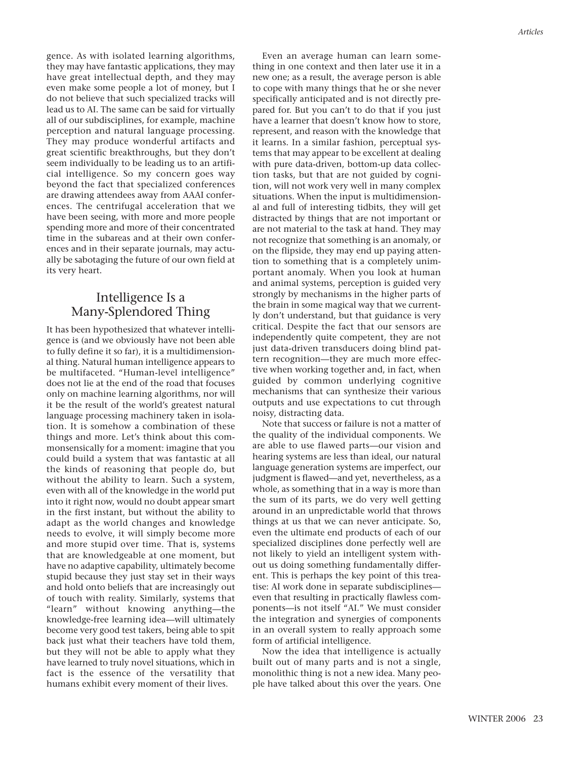gence. As with isolated learning algorithms, they may have fantastic applications, they may have great intellectual depth, and they may even make some people a lot of money, but I do not believe that such specialized tracks will lead us to AI. The same can be said for virtually all of our subdisciplines, for example, machine perception and natural language processing. They may produce wonderful artifacts and great scientific breakthroughs, but they don't seem individually to be leading us to an artificial intelligence. So my concern goes way beyond the fact that specialized conferences are drawing attendees away from AAAI conferences. The centrifugal acceleration that we have been seeing, with more and more people spending more and more of their concentrated time in the subareas and at their own conferences and in their separate journals, may actually be sabotaging the future of our own field at its very heart.

## Intelligence Is a Many-Splendored Thing

It has been hypothesized that whatever intelligence is (and we obviously have not been able to fully define it so far), it is a multidimensional thing. Natural human intelligence appears to be multifaceted. "Human-level intelligence" does not lie at the end of the road that focuses only on machine learning algorithms, nor will it be the result of the world's greatest natural language processing machinery taken in isolation. It is somehow a combination of these things and more. Let's think about this commonsensically for a moment: imagine that you could build a system that was fantastic at all the kinds of reasoning that people do, but without the ability to learn. Such a system, even with all of the knowledge in the world put into it right now, would no doubt appear smart in the first instant, but without the ability to adapt as the world changes and knowledge needs to evolve, it will simply become more and more stupid over time. That is, systems that are knowledgeable at one moment, but have no adaptive capability, ultimately become stupid because they just stay set in their ways and hold onto beliefs that are increasingly out of touch with reality. Similarly, systems that "learn" without knowing anything—the knowledge-free learning idea—will ultimately become very good test takers, being able to spit back just what their teachers have told them, but they will not be able to apply what they have learned to truly novel situations, which in fact is the essence of the versatility that humans exhibit every moment of their lives.

Even an average human can learn something in one context and then later use it in a new one; as a result, the average person is able to cope with many things that he or she never specifically anticipated and is not directly prepared for. But you can't to do that if you just have a learner that doesn't know how to store, represent, and reason with the knowledge that it learns. In a similar fashion, perceptual systems that may appear to be excellent at dealing with pure data-driven, bottom-up data collection tasks, but that are not guided by cognition, will not work very well in many complex situations. When the input is multidimensional and full of interesting tidbits, they will get distracted by things that are not important or are not material to the task at hand. They may not recognize that something is an anomaly, or on the flipside, they may end up paying attention to something that is a completely unimportant anomaly. When you look at human and animal systems, perception is guided very strongly by mechanisms in the higher parts of the brain in some magical way that we currently don't understand, but that guidance is very critical. Despite the fact that our sensors are independently quite competent, they are not just data-driven transducers doing blind pattern recognition—they are much more effective when working together and, in fact, when guided by common underlying cognitive mechanisms that can synthesize their various outputs and use expectations to cut through noisy, distracting data.

Note that success or failure is not a matter of the quality of the individual components. We are able to use flawed parts—our vision and hearing systems are less than ideal, our natural language generation systems are imperfect, our judgment is flawed—and yet, nevertheless, as a whole, as something that in a way is more than the sum of its parts, we do very well getting around in an unpredictable world that throws things at us that we can never anticipate. So, even the ultimate end products of each of our specialized disciplines done perfectly well are not likely to yield an intelligent system without us doing something fundamentally different. This is perhaps the key point of this treatise: AI work done in separate subdisciplines even that resulting in practically flawless components—is not itself "AI." We must consider the integration and synergies of components in an overall system to really approach some form of artificial intelligence.

Now the idea that intelligence is actually built out of many parts and is not a single, monolithic thing is not a new idea. Many people have talked about this over the years. One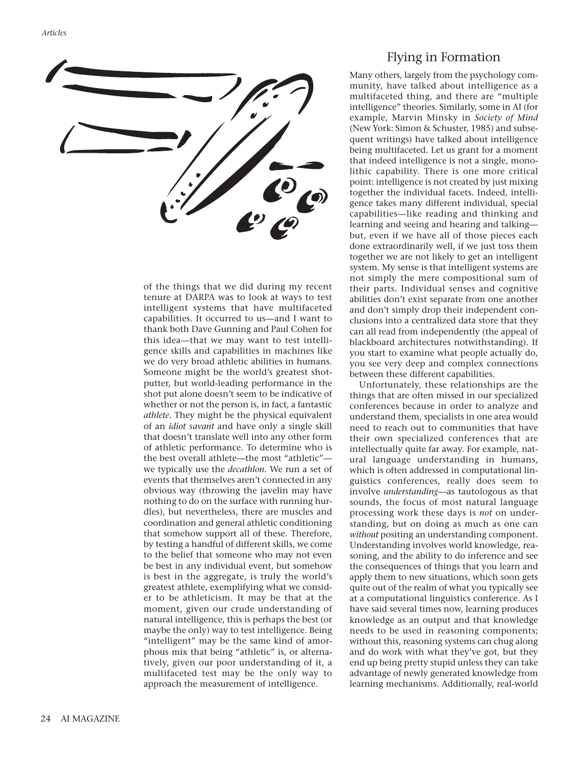

of the things that we did during my recent tenure at DARPA was to look at ways to test intelligent systems that have multifaceted capabilities. It occurred to us—and I want to thank both Dave Gunning and Paul Cohen for this idea—that we may want to test intelligence skills and capabilities in machines like we do very broad athletic abilities in humans. Someone might be the world's greatest shotputter, but world-leading performance in the shot put alone doesn't seem to be indicative of whether or not the person is, in fact, a fantastic *athlete.* They might be the physical equivalent of an *idiot savant* and have only a single skill that doesn't translate well into any other form of athletic performance. To determine who is the best overall athlete—the most "athletic" we typically use the *decathlon.* We run a set of events that themselves aren't connected in any obvious way (throwing the javelin may have nothing to do on the surface with running hurdles), but nevertheless, there are muscles and coordination and general athletic conditioning that somehow support all of these. Therefore, by testing a handful of different skills, we come to the belief that someone who may not even be best in any individual event, but somehow is best in the aggregate, is truly the world's greatest athlete, exemplifying what we consider to be athleticism. It may be that at the moment, given our crude understanding of natural intelligence, this is perhaps the best (or maybe the only) way to test intelligence. Being "intelligent" may be the same kind of amorphous mix that being "athletic" is, or alternatively, given our poor understanding of it, a multifaceted test may be the only way to approach the measurement of intelligence.

## Flying in Formation

Many others, largely from the psychology community, have talked about intelligence as a multifaceted thing, and there are "multiple intelligence" theories. Similarly, some in AI (for example, Marvin Minsky in *Society of Mind* (New York: Simon & Schuster, 1985) and subsequent writings) have talked about intelligence being multifaceted. Let us grant for a moment that indeed intelligence is not a single, monolithic capability. There is one more critical point: intelligence is not created by just mixing together the individual facets. Indeed, intelligence takes many different individual, special capabilities—like reading and thinking and learning and seeing and hearing and talking but, even if we have all of those pieces each done extraordinarily well, if we just toss them together we are not likely to get an intelligent system. My sense is that intelligent systems are not simply the mere compositional sum of their parts. Individual senses and cognitive abilities don't exist separate from one another and don't simply drop their independent conclusions into a centralized data store that they can all read from independently (the appeal of blackboard architectures notwithstanding). If you start to examine what people actually do, you see very deep and complex connections between these different capabilities.

Unfortunately, these relationships are the things that are often missed in our specialized conferences because in order to analyze and understand them, specialists in one area would need to reach out to communities that have their own specialized conferences that are intellectually quite far away. For example, natural language understanding in humans, which is often addressed in computational linguistics conferences, really does seem to involve *understanding*—as tautologous as that sounds, the focus of most natural language processing work these days is *not* on understanding, but on doing as much as one can *without* positing an understanding component. Understanding involves world knowledge, reasoning, and the ability to do inference and see the consequences of things that you learn and apply them to new situations, which soon gets quite out of the realm of what you typically see at a computational linguistics conference. As I have said several times now, learning produces knowledge as an output and that knowledge needs to be used in reasoning components; without this, reasoning systems can chug along and do work with what they've got, but they end up being pretty stupid unless they can take advantage of newly generated knowledge from learning mechanisms. Additionally, real-world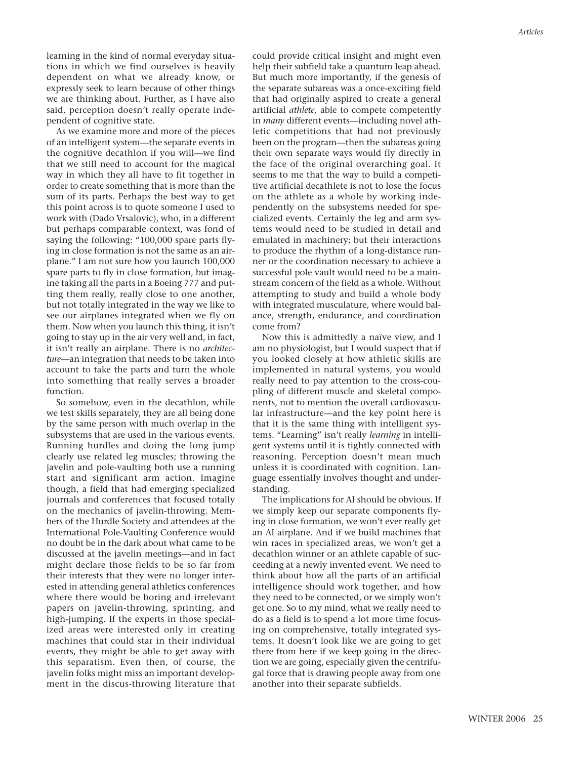learning in the kind of normal everyday situations in which we find ourselves is heavily dependent on what we already know, or expressly seek to learn because of other things we are thinking about. Further, as I have also said, perception doesn't really operate independent of cognitive state.

As we examine more and more of the pieces of an intelligent system—the separate events in the cognitive decathlon if you will—we find that we still need to account for the magical way in which they all have to fit together in order to create something that is more than the sum of its parts. Perhaps the best way to get this point across is to quote someone I used to work with (Dado Vrsalovic), who, in a different but perhaps comparable context, was fond of saying the following: "100,000 spare parts flying in close formation is not the same as an airplane." I am not sure how you launch 100,000 spare parts to fly in close formation, but imagine taking all the parts in a Boeing 777 and putting them really, really close to one another, but not totally integrated in the way we like to see our airplanes integrated when we fly on them. Now when you launch this thing, it isn't going to stay up in the air very well and, in fact, it isn't really an airplane. There is no *architecture—*an integration that needs to be taken into account to take the parts and turn the whole into something that really serves a broader function.

So somehow, even in the decathlon, while we test skills separately, they are all being done by the same person with much overlap in the subsystems that are used in the various events. Running hurdles and doing the long jump clearly use related leg muscles; throwing the javelin and pole-vaulting both use a running start and significant arm action. Imagine though, a field that had emerging specialized journals and conferences that focused totally on the mechanics of javelin-throwing. Members of the Hurdle Society and attendees at the International Pole-Vaulting Conference would no doubt be in the dark about what came to be discussed at the javelin meetings—and in fact might declare those fields to be so far from their interests that they were no longer interested in attending general athletics conferences where there would be boring and irrelevant papers on javelin-throwing, sprinting, and high-jumping. If the experts in those specialized areas were interested only in creating machines that could star in their individual events, they might be able to get away with this separatism. Even then, of course, the javelin folks might miss an important development in the discus-throwing literature that could provide critical insight and might even help their subfield take a quantum leap ahead. But much more importantly, if the genesis of the separate subareas was a once-exciting field that had originally aspired to create a general artificial *athlete,* able to compete competently in *many* different events—including novel athletic competitions that had not previously been on the program—then the subareas going their own separate ways would fly directly in the face of the original overarching goal. It seems to me that the way to build a competitive artificial decathlete is not to lose the focus on the athlete as a whole by working independently on the subsystems needed for specialized events. Certainly the leg and arm systems would need to be studied in detail and emulated in machinery; but their interactions to produce the rhythm of a long-distance runner or the coordination necessary to achieve a successful pole vault would need to be a mainstream concern of the field as a whole. Without attempting to study and build a whole body with integrated musculature, where would balance, strength, endurance, and coordination come from?

Now this is admittedly a naïve view, and I am no physiologist, but I would suspect that if you looked closely at how athletic skills are implemented in natural systems, you would really need to pay attention to the cross-coupling of different muscle and skeletal components, not to mention the overall cardiovascular infrastructure—and the key point here is that it is the same thing with intelligent systems. "Learning" isn't really *learning* in intelligent systems until it is tightly connected with reasoning. Perception doesn't mean much unless it is coordinated with cognition. Language essentially involves thought and understanding.

The implications for AI should be obvious. If we simply keep our separate components flying in close formation, we won't ever really get an AI airplane. And if we build machines that win races in specialized areas, we won't get a decathlon winner or an athlete capable of succeeding at a newly invented event. We need to think about how all the parts of an artificial intelligence should work together, and how they need to be connected, or we simply won't get one. So to my mind, what we really need to do as a field is to spend a lot more time focusing on comprehensive, totally integrated systems. It doesn't look like we are going to get there from here if we keep going in the direction we are going, especially given the centrifugal force that is drawing people away from one another into their separate subfields.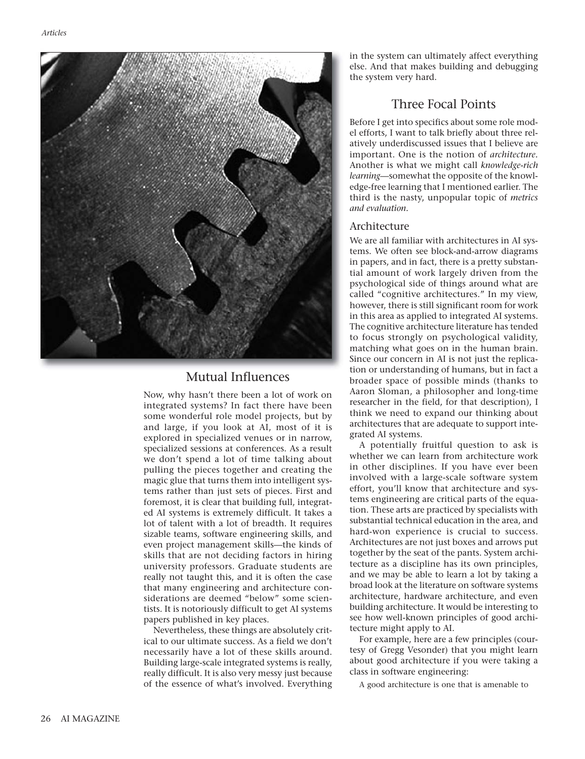

## Mutual Influences

Now, why hasn't there been a lot of work on integrated systems? In fact there have been some wonderful role model projects, but by and large, if you look at AI, most of it is explored in specialized venues or in narrow, specialized sessions at conferences. As a result we don't spend a lot of time talking about pulling the pieces together and creating the magic glue that turns them into intelligent systems rather than just sets of pieces. First and foremost, it is clear that building full, integrated AI systems is extremely difficult. It takes a lot of talent with a lot of breadth. It requires sizable teams, software engineering skills, and even project management skills—the kinds of skills that are not deciding factors in hiring university professors. Graduate students are really not taught this, and it is often the case that many engineering and architecture considerations are deemed "below" some scientists. It is notoriously difficult to get AI systems papers published in key places.

Nevertheless, these things are absolutely critical to our ultimate success. As a field we don't necessarily have a lot of these skills around. Building large-scale integrated systems is really, really difficult. It is also very messy just because of the essence of what's involved. Everything

in the system can ultimately affect everything else. And that makes building and debugging the system very hard.

# Three Focal Points

Before I get into specifics about some role model efforts, I want to talk briefly about three relatively underdiscussed issues that I believe are important. One is the notion of *architecture.* Another is what we might call *knowledge-rich learning*—somewhat the opposite of the knowledge-free learning that I mentioned earlier. The third is the nasty, unpopular topic of *metrics and evaluation.*

## Architecture

We are all familiar with architectures in AI systems. We often see block-and-arrow diagrams in papers, and in fact, there is a pretty substantial amount of work largely driven from the psychological side of things around what are called "cognitive architectures." In my view, however, there is still significant room for work in this area as applied to integrated AI systems. The cognitive architecture literature has tended to focus strongly on psychological validity, matching what goes on in the human brain. Since our concern in AI is not just the replication or understanding of humans, but in fact a broader space of possible minds (thanks to Aaron Sloman, a philosopher and long-time researcher in the field, for that description), I think we need to expand our thinking about architectures that are adequate to support integrated AI systems.

A potentially fruitful question to ask is whether we can learn from architecture work in other disciplines. If you have ever been involved with a large-scale software system effort, you'll know that architecture and systems engineering are critical parts of the equation. These arts are practiced by specialists with substantial technical education in the area, and hard-won experience is crucial to success. Architectures are not just boxes and arrows put together by the seat of the pants. System architecture as a discipline has its own principles, and we may be able to learn a lot by taking a broad look at the literature on software systems architecture, hardware architecture, and even building architecture. It would be interesting to see how well-known principles of good architecture might apply to AI.

For example, here are a few principles (courtesy of Gregg Vesonder) that you might learn about good architecture if you were taking a class in software engineering:

A good architecture is one that is amenable to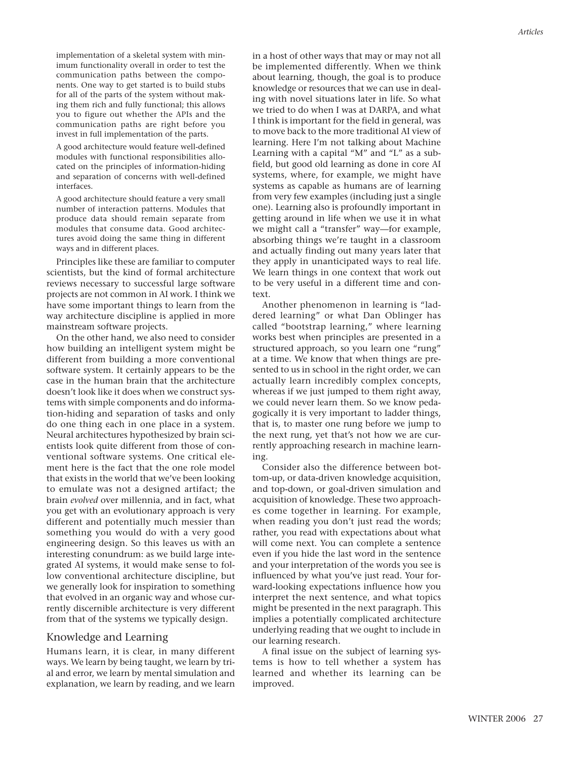implementation of a skeletal system with minimum functionality overall in order to test the communication paths between the components. One way to get started is to build stubs for all of the parts of the system without making them rich and fully functional; this allows you to figure out whether the APIs and the communication paths are right before you invest in full implementation of the parts.

A good architecture would feature well-defined modules with functional responsibilities allocated on the principles of information-hiding and separation of concerns with well-defined interfaces.

A good architecture should feature a very small number of interaction patterns. Modules that produce data should remain separate from modules that consume data. Good architectures avoid doing the same thing in different ways and in different places.

Principles like these are familiar to computer scientists, but the kind of formal architecture reviews necessary to successful large software projects are not common in AI work. I think we have some important things to learn from the way architecture discipline is applied in more mainstream software projects.

On the other hand, we also need to consider how building an intelligent system might be different from building a more conventional software system. It certainly appears to be the case in the human brain that the architecture doesn't look like it does when we construct systems with simple components and do information-hiding and separation of tasks and only do one thing each in one place in a system. Neural architectures hypothesized by brain scientists look quite different from those of conventional software systems. One critical element here is the fact that the one role model that exists in the world that we've been looking to emulate was not a designed artifact; the brain *evolved* over millennia, and in fact, what you get with an evolutionary approach is very different and potentially much messier than something you would do with a very good engineering design. So this leaves us with an interesting conundrum: as we build large integrated AI systems, it would make sense to follow conventional architecture discipline, but we generally look for inspiration to something that evolved in an organic way and whose currently discernible architecture is very different from that of the systems we typically design.

#### Knowledge and Learning

Humans learn, it is clear, in many different ways. We learn by being taught, we learn by trial and error, we learn by mental simulation and explanation, we learn by reading, and we learn in a host of other ways that may or may not all be implemented differently. When we think about learning, though, the goal is to produce knowledge or resources that we can use in dealing with novel situations later in life. So what we tried to do when I was at DARPA, and what I think is important for the field in general, was to move back to the more traditional AI view of learning. Here I'm not talking about Machine Learning with a capital "M" and "L" as a subfield, but good old learning as done in core AI systems, where, for example, we might have systems as capable as humans are of learning from very few examples (including just a single one). Learning also is profoundly important in getting around in life when we use it in what we might call a "transfer" way—for example, absorbing things we're taught in a classroom and actually finding out many years later that they apply in unanticipated ways to real life. We learn things in one context that work out to be very useful in a different time and context.

Another phenomenon in learning is "laddered learning" or what Dan Oblinger has called "bootstrap learning," where learning works best when principles are presented in a structured approach, so you learn one "rung" at a time. We know that when things are presented to us in school in the right order, we can actually learn incredibly complex concepts, whereas if we just jumped to them right away, we could never learn them. So we know pedagogically it is very important to ladder things, that is, to master one rung before we jump to the next rung, yet that's not how we are currently approaching research in machine learning.

Consider also the difference between bottom-up, or data-driven knowledge acquisition, and top-down, or goal-driven simulation and acquisition of knowledge. These two approaches come together in learning. For example, when reading you don't just read the words; rather, you read with expectations about what will come next. You can complete a sentence even if you hide the last word in the sentence and your interpretation of the words you see is influenced by what you've just read. Your forward-looking expectations influence how you interpret the next sentence, and what topics might be presented in the next paragraph. This implies a potentially complicated architecture underlying reading that we ought to include in our learning research.

A final issue on the subject of learning systems is how to tell whether a system has learned and whether its learning can be improved.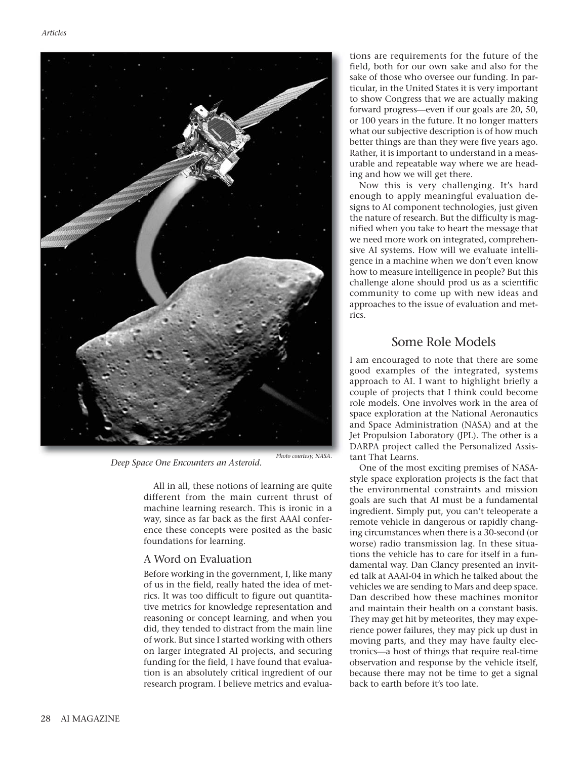

*Deep Space One Encounters an Asteroid.* 

All in all, these notions of learning are quite different from the main current thrust of machine learning research. This is ironic in a way, since as far back as the first AAAI conference these concepts were posited as the basic foundations for learning.

#### A Word on Evaluation

Before working in the government, I, like many of us in the field, really hated the idea of metrics. It was too difficult to figure out quantitative metrics for knowledge representation and reasoning or concept learning, and when you did, they tended to distract from the main line of work. But since I started working with others on larger integrated AI projects, and securing funding for the field, I have found that evaluation is an absolutely critical ingredient of our research program. I believe metrics and evaluations are requirements for the future of the field, both for our own sake and also for the sake of those who oversee our funding. In particular, in the United States it is very important to show Congress that we are actually making forward progress—even if our goals are 20, 50, or 100 years in the future. It no longer matters what our subjective description is of how much better things are than they were five years ago. Rather, it is important to understand in a measurable and repeatable way where we are heading and how we will get there.

Now this is very challenging. It's hard enough to apply meaningful evaluation designs to AI component technologies, just given the nature of research. But the difficulty is magnified when you take to heart the message that we need more work on integrated, comprehensive AI systems. How will we evaluate intelligence in a machine when we don't even know how to measure intelligence in people? But this challenge alone should prod us as a scientific community to come up with new ideas and approaches to the issue of evaluation and metrics.

## Some Role Models

I am encouraged to note that there are some good examples of the integrated, systems approach to AI. I want to highlight briefly a couple of projects that I think could become role models. One involves work in the area of space exploration at the National Aeronautics and Space Administration (NASA) and at the Jet Propulsion Laboratory (JPL). The other is a DARPA project called the Personalized Assistant That Learns.

One of the most exciting premises of NASAstyle space exploration projects is the fact that the environmental constraints and mission goals are such that AI must be a fundamental ingredient. Simply put, you can't teleoperate a remote vehicle in dangerous or rapidly changing circumstances when there is a 30-second (or worse) radio transmission lag. In these situations the vehicle has to care for itself in a fundamental way. Dan Clancy presented an invited talk at AAAI-04 in which he talked about the vehicles we are sending to Mars and deep space. Dan described how these machines monitor and maintain their health on a constant basis. They may get hit by meteorites, they may experience power failures, they may pick up dust in moving parts, and they may have faulty electronics—a host of things that require real-time observation and response by the vehicle itself, because there may not be time to get a signal back to earth before it's too late.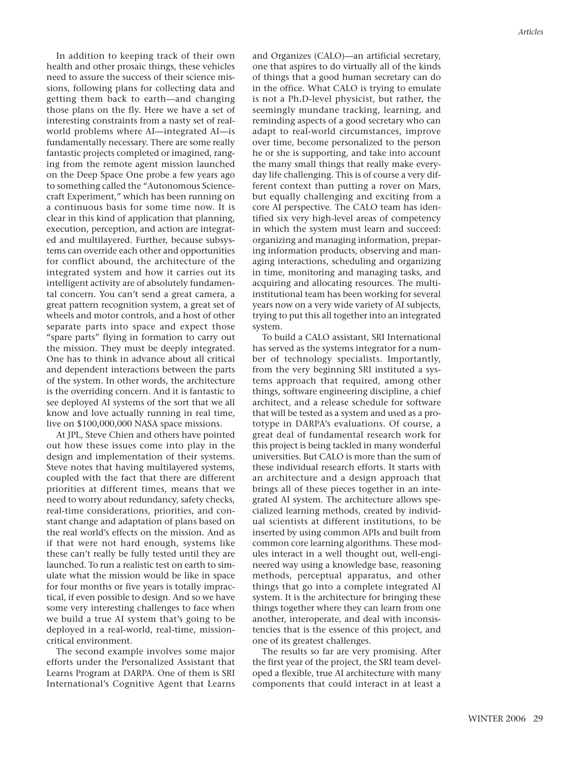In addition to keeping track of their own health and other prosaic things, these vehicles need to assure the success of their science missions, following plans for collecting data and getting them back to earth—and changing those plans on the fly. Here we have a set of interesting constraints from a nasty set of realworld problems where AI—integrated AI—is fundamentally necessary. There are some really fantastic projects completed or imagined, ranging from the remote agent mission launched on the Deep Space One probe a few years ago to something called the "Autonomous Sciencecraft Experiment," which has been running on a continuous basis for some time now. It is clear in this kind of application that planning, execution, perception, and action are integrated and multilayered. Further, because subsystems can override each other and opportunities for conflict abound, the architecture of the integrated system and how it carries out its intelligent activity are of absolutely fundamental concern. You can't send a great camera, a great pattern recognition system, a great set of wheels and motor controls, and a host of other separate parts into space and expect those "spare parts" flying in formation to carry out the mission. They must be deeply integrated. One has to think in advance about all critical and dependent interactions between the parts of the system. In other words, the architecture is the overriding concern. And it is fantastic to see deployed AI systems of the sort that we all know and love actually running in real time, live on \$100,000,000 NASA space missions.

At JPL, Steve Chien and others have pointed out how these issues come into play in the design and implementation of their systems. Steve notes that having multilayered systems, coupled with the fact that there are different priorities at different times, means that we need to worry about redundancy, safety checks, real-time considerations, priorities, and constant change and adaptation of plans based on the real world's effects on the mission. And as if that were not hard enough, systems like these can't really be fully tested until they are launched. To run a realistic test on earth to simulate what the mission would be like in space for four months or five years is totally impractical, if even possible to design. And so we have some very interesting challenges to face when we build a true AI system that's going to be deployed in a real-world, real-time, missioncritical environment.

The second example involves some major efforts under the Personalized Assistant that Learns Program at DARPA. One of them is SRI International's Cognitive Agent that Learns and Organizes (CALO)—an artificial secretary, one that aspires to do virtually all of the kinds of things that a good human secretary can do in the office. What CALO is trying to emulate is not a Ph.D-level physicist, but rather, the seemingly mundane tracking, learning, and reminding aspects of a good secretary who can adapt to real-world circumstances, improve over time, become personalized to the person he or she is supporting, and take into account the many small things that really make everyday life challenging. This is of course a very different context than putting a rover on Mars, but equally challenging and exciting from a core AI perspective. The CALO team has identified six very high-level areas of competency in which the system must learn and succeed: organizing and managing information, preparing information products, observing and managing interactions, scheduling and organizing in time, monitoring and managing tasks, and acquiring and allocating resources. The multiinstitutional team has been working for several years now on a very wide variety of AI subjects, trying to put this all together into an integrated system.

To build a CALO assistant, SRI International has served as the systems integrator for a number of technology specialists. Importantly, from the very beginning SRI instituted a systems approach that required, among other things, software engineering discipline, a chief architect, and a release schedule for software that will be tested as a system and used as a prototype in DARPA's evaluations. Of course, a great deal of fundamental research work for this project is being tackled in many wonderful universities. But CALO is more than the sum of these individual research efforts. It starts with an architecture and a design approach that brings all of these pieces together in an integrated AI system. The architecture allows specialized learning methods, created by individual scientists at different institutions, to be inserted by using common APIs and built from common core learning algorithms. These modules interact in a well thought out, well-engineered way using a knowledge base, reasoning methods, perceptual apparatus, and other things that go into a complete integrated AI system. It is the architecture for bringing these things together where they can learn from one another, interoperate, and deal with inconsistencies that is the essence of this project, and one of its greatest challenges.

The results so far are very promising. After the first year of the project, the SRI team developed a flexible, true AI architecture with many components that could interact in at least a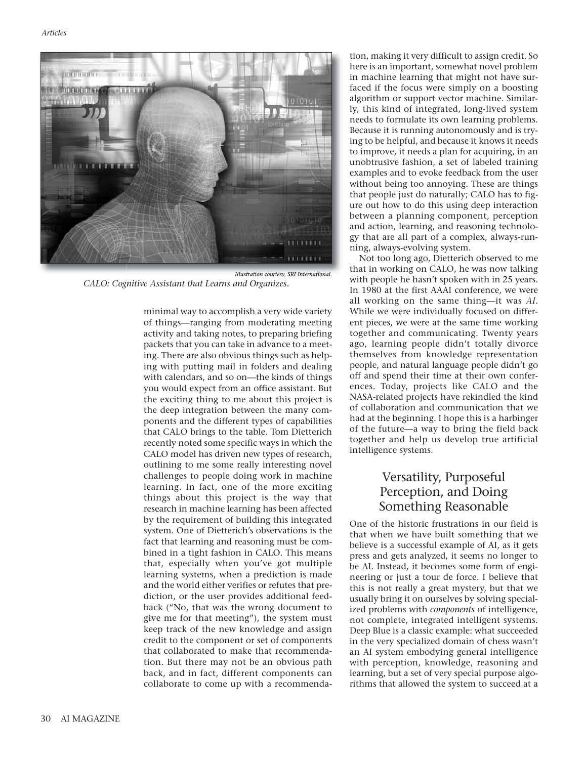

*Illustration courtesy, SRI International. CALO: Cognitive Assistant that Learns and Organizes.*

minimal way to accomplish a very wide variety of things—ranging from moderating meeting activity and taking notes, to preparing briefing packets that you can take in advance to a meeting. There are also obvious things such as helping with putting mail in folders and dealing with calendars, and so on—the kinds of things you would expect from an office assistant. But the exciting thing to me about this project is the deep integration between the many components and the different types of capabilities that CALO brings to the table. Tom Dietterich recently noted some specific ways in which the CALO model has driven new types of research, outlining to me some really interesting novel challenges to people doing work in machine learning. In fact, one of the more exciting things about this project is the way that research in machine learning has been affected by the requirement of building this integrated system. One of Dietterich's observations is the fact that learning and reasoning must be combined in a tight fashion in CALO. This means that, especially when you've got multiple learning systems, when a prediction is made and the world either verifies or refutes that prediction, or the user provides additional feedback ("No, that was the wrong document to give me for that meeting"), the system must keep track of the new knowledge and assign credit to the component or set of components that collaborated to make that recommendation. But there may not be an obvious path back, and in fact, different components can collaborate to come up with a recommendation, making it very difficult to assign credit. So here is an important, somewhat novel problem in machine learning that might not have surfaced if the focus were simply on a boosting algorithm or support vector machine. Similarly, this kind of integrated, long-lived system needs to formulate its own learning problems. Because it is running autonomously and is trying to be helpful, and because it knows it needs to improve, it needs a plan for acquiring, in an unobtrusive fashion, a set of labeled training examples and to evoke feedback from the user without being too annoying. These are things that people just do naturally; CALO has to figure out how to do this using deep interaction between a planning component, perception and action, learning, and reasoning technology that are all part of a complex, always-running, always-evolving system.

Not too long ago, Dietterich observed to me that in working on CALO, he was now talking with people he hasn't spoken with in 25 years. In 1980 at the first AAAI conference, we were all working on the same thing—it was *AI.* While we were individually focused on different pieces, we were at the same time working together and communicating. Twenty years ago, learning people didn't totally divorce themselves from knowledge representation people, and natural language people didn't go off and spend their time at their own conferences. Today, projects like CALO and the NASA-related projects have rekindled the kind of collaboration and communication that we had at the beginning. I hope this is a harbinger of the future—a way to bring the field back together and help us develop true artificial intelligence systems.

# Versatility, Purposeful Perception, and Doing Something Reasonable

One of the historic frustrations in our field is that when we have built something that we believe is a successful example of AI, as it gets press and gets analyzed, it seems no longer to be AI. Instead, it becomes some form of engineering or just a tour de force. I believe that this is not really a great mystery, but that we usually bring it on ourselves by solving specialized problems with *components* of intelligence, not complete, integrated intelligent systems. Deep Blue is a classic example: what succeeded in the very specialized domain of chess wasn't an AI system embodying general intelligence with perception, knowledge, reasoning and learning, but a set of very special purpose algorithms that allowed the system to succeed at a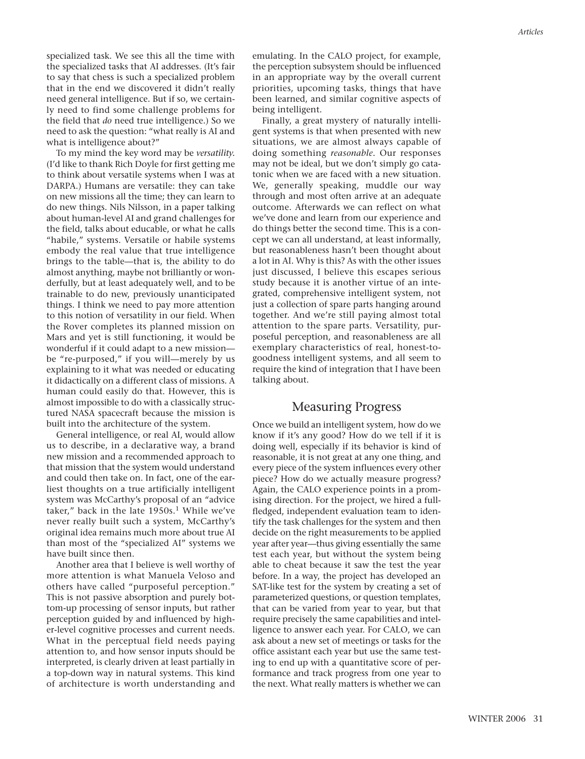specialized task. We see this all the time with the specialized tasks that AI addresses. (It's fair to say that chess is such a specialized problem that in the end we discovered it didn't really need general intelligence. But if so, we certainly need to find some challenge problems for the field that *do* need true intelligence.) So we need to ask the question: "what really is AI and what is intelligence about?"

To my mind the key word may be *versatility.* (I'd like to thank Rich Doyle for first getting me to think about versatile systems when I was at DARPA.) Humans are versatile: they can take on new missions all the time; they can learn to do new things. Nils Nilsson, in a paper talking about human-level AI and grand challenges for the field, talks about educable, or what he calls "habile," systems. Versatile or habile systems embody the real value that true intelligence brings to the table—that is, the ability to do almost anything, maybe not brilliantly or wonderfully, but at least adequately well, and to be trainable to do new, previously unanticipated things. I think we need to pay more attention to this notion of versatility in our field. When the Rover completes its planned mission on Mars and yet is still functioning, it would be wonderful if it could adapt to a new mission be "re-purposed," if you will—merely by us explaining to it what was needed or educating it didactically on a different class of missions. A human could easily do that. However, this is almost impossible to do with a classically structured NASA spacecraft because the mission is built into the architecture of the system.

General intelligence, or real AI, would allow us to describe, in a declarative way, a brand new mission and a recommended approach to that mission that the system would understand and could then take on. In fact, one of the earliest thoughts on a true artificially intelligent system was McCarthy's proposal of an "advice taker," back in the late  $1950s$ .<sup>1</sup> While we've never really built such a system, McCarthy's original idea remains much more about true AI than most of the "specialized AI" systems we have built since then.

Another area that I believe is well worthy of more attention is what Manuela Veloso and others have called "purposeful perception." This is not passive absorption and purely bottom-up processing of sensor inputs, but rather perception guided by and influenced by higher-level cognitive processes and current needs. What in the perceptual field needs paying attention to, and how sensor inputs should be interpreted, is clearly driven at least partially in a top-down way in natural systems. This kind of architecture is worth understanding and emulating. In the CALO project, for example, the perception subsystem should be influenced in an appropriate way by the overall current priorities, upcoming tasks, things that have been learned, and similar cognitive aspects of being intelligent.

Finally, a great mystery of naturally intelligent systems is that when presented with new situations, we are almost always capable of doing something *reasonable.* Our responses may not be ideal, but we don't simply go catatonic when we are faced with a new situation. We, generally speaking, muddle our way through and most often arrive at an adequate outcome. Afterwards we can reflect on what we've done and learn from our experience and do things better the second time. This is a concept we can all understand, at least informally, but reasonableness hasn't been thought about a lot in AI. Why is this? As with the other issues just discussed, I believe this escapes serious study because it is another virtue of an integrated, comprehensive intelligent system, not just a collection of spare parts hanging around together. And we're still paying almost total attention to the spare parts. Versatility, purposeful perception, and reasonableness are all exemplary characteristics of real, honest-togoodness intelligent systems, and all seem to require the kind of integration that I have been talking about.

#### Measuring Progress

Once we build an intelligent system, how do we know if it's any good? How do we tell if it is doing well, especially if its behavior is kind of reasonable, it is not great at any one thing, and every piece of the system influences every other piece? How do we actually measure progress? Again, the CALO experience points in a promising direction. For the project, we hired a fullfledged, independent evaluation team to identify the task challenges for the system and then decide on the right measurements to be applied year after year—thus giving essentially the same test each year, but without the system being able to cheat because it saw the test the year before. In a way, the project has developed an SAT-like test for the system by creating a set of parameterized questions, or question templates, that can be varied from year to year, but that require precisely the same capabilities and intelligence to answer each year. For CALO, we can ask about a new set of meetings or tasks for the office assistant each year but use the same testing to end up with a quantitative score of performance and track progress from one year to the next. What really matters is whether we can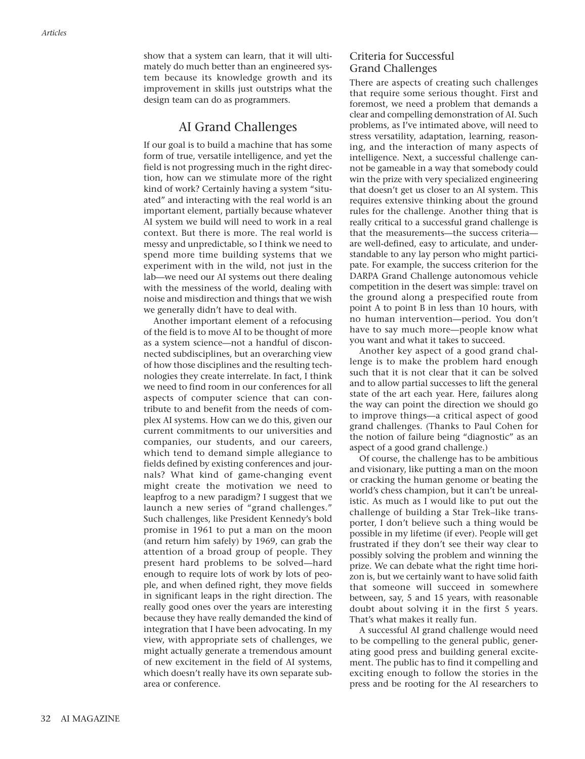show that a system can learn, that it will ultimately do much better than an engineered system because its knowledge growth and its improvement in skills just outstrips what the design team can do as programmers.

### AI Grand Challenges

If our goal is to build a machine that has some form of true, versatile intelligence, and yet the field is not progressing much in the right direction, how can we stimulate more of the right kind of work? Certainly having a system "situated" and interacting with the real world is an important element, partially because whatever AI system we build will need to work in a real context. But there is more. The real world is messy and unpredictable, so I think we need to spend more time building systems that we experiment with in the wild, not just in the lab—we need our AI systems out there dealing with the messiness of the world, dealing with noise and misdirection and things that we wish we generally didn't have to deal with.

Another important element of a refocusing of the field is to move AI to be thought of more as a system science—not a handful of disconnected subdisciplines, but an overarching view of how those disciplines and the resulting technologies they create interrelate. In fact, I think we need to find room in our conferences for all aspects of computer science that can contribute to and benefit from the needs of complex AI systems. How can we do this, given our current commitments to our universities and companies, our students, and our careers, which tend to demand simple allegiance to fields defined by existing conferences and journals? What kind of game-changing event might create the motivation we need to leapfrog to a new paradigm? I suggest that we launch a new series of "grand challenges." Such challenges, like President Kennedy's bold promise in 1961 to put a man on the moon (and return him safely) by 1969, can grab the attention of a broad group of people. They present hard problems to be solved—hard enough to require lots of work by lots of people, and when defined right, they move fields in significant leaps in the right direction. The really good ones over the years are interesting because they have really demanded the kind of integration that I have been advocating. In my view, with appropriate sets of challenges, we might actually generate a tremendous amount of new excitement in the field of AI systems, which doesn't really have its own separate subarea or conference.

#### Criteria for Successful Grand Challenges

There are aspects of creating such challenges that require some serious thought. First and foremost, we need a problem that demands a clear and compelling demonstration of AI. Such problems, as I've intimated above, will need to stress versatility, adaptation, learning, reasoning, and the interaction of many aspects of intelligence. Next, a successful challenge cannot be gameable in a way that somebody could win the prize with very specialized engineering that doesn't get us closer to an AI system. This requires extensive thinking about the ground rules for the challenge. Another thing that is really critical to a successful grand challenge is that the measurements—the success criteria are well-defined, easy to articulate, and understandable to any lay person who might participate. For example, the success criterion for the DARPA Grand Challenge autonomous vehicle competition in the desert was simple: travel on the ground along a prespecified route from point A to point B in less than 10 hours, with no human intervention—period. You don't have to say much more—people know what you want and what it takes to succeed.

Another key aspect of a good grand challenge is to make the problem hard enough such that it is not clear that it can be solved and to allow partial successes to lift the general state of the art each year. Here, failures along the way can point the direction we should go to improve things—a critical aspect of good grand challenges. (Thanks to Paul Cohen for the notion of failure being "diagnostic" as an aspect of a good grand challenge.)

Of course, the challenge has to be ambitious and visionary, like putting a man on the moon or cracking the human genome or beating the world's chess champion, but it can't be unrealistic. As much as I would like to put out the challenge of building a Star Trek–like transporter, I don't believe such a thing would be possible in my lifetime (if ever). People will get frustrated if they don't see their way clear to possibly solving the problem and winning the prize. We can debate what the right time horizon is, but we certainly want to have solid faith that someone will succeed in somewhere between, say, 5 and 15 years, with reasonable doubt about solving it in the first 5 years. That's what makes it really fun.

A successful AI grand challenge would need to be compelling to the general public, generating good press and building general excitement. The public has to find it compelling and exciting enough to follow the stories in the press and be rooting for the AI researchers to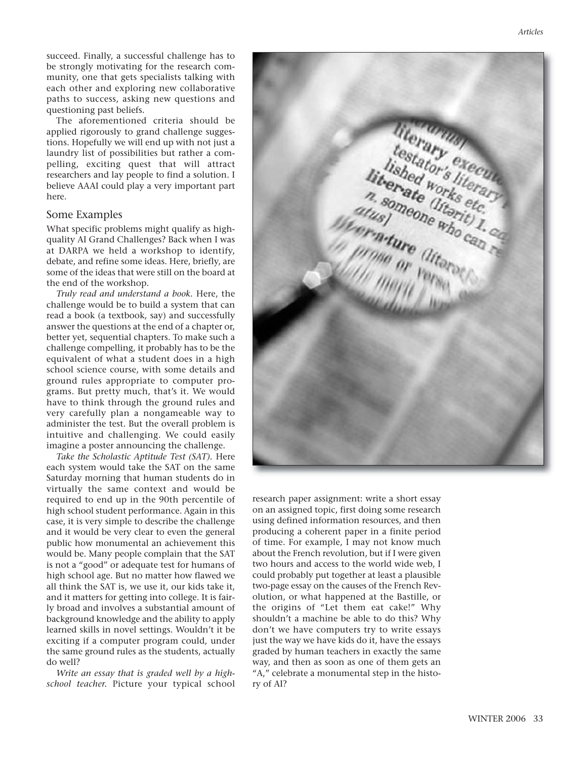The aforementioned criteria should be applied rigorously to grand challenge suggestions. Hopefully we will end up with not just a laundry list of possibilities but rather a compelling, exciting quest that will attract researchers and lay people to find a solution. I believe AAAI could play a very important part here.

#### Some Examples

What specific problems might qualify as highquality AI Grand Challenges? Back when I was at DARPA we held a workshop to identify, debate, and refine some ideas. Here, briefly, are some of the ideas that were still on the board at the end of the workshop.

*Truly read and understand a book.* Here, the challenge would be to build a system that can read a book (a textbook, say) and successfully answer the questions at the end of a chapter or, better yet, sequential chapters. To make such a challenge compelling, it probably has to be the equivalent of what a student does in a high school science course, with some details and ground rules appropriate to computer programs. But pretty much, that's it. We would have to think through the ground rules and very carefully plan a nongameable way to administer the test. But the overall problem is intuitive and challenging. We could easily imagine a poster announcing the challenge.

*Take the Scholastic Aptitude Test (SAT).* Here each system would take the SAT on the same Saturday morning that human students do in virtually the same context and would be required to end up in the 90th percentile of high school student performance. Again in this case, it is very simple to describe the challenge and it would be very clear to even the general public how monumental an achievement this would be. Many people complain that the SAT is not a "good" or adequate test for humans of high school age. But no matter how flawed we all think the SAT is, we use it, our kids take it, and it matters for getting into college. It is fairly broad and involves a substantial amount of background knowledge and the ability to apply learned skills in novel settings. Wouldn't it be exciting if a computer program could, under the same ground rules as the students, actually do well?

*Write an essay that is graded well by a highschool teacher.* Picture your typical school



research paper assignment: write a short essay on an assigned topic, first doing some research using defined information resources, and then producing a coherent paper in a finite period of time. For example, I may not know much about the French revolution, but if I were given two hours and access to the world wide web, I could probably put together at least a plausible two-page essay on the causes of the French Revolution, or what happened at the Bastille, or the origins of "Let them eat cake!" Why shouldn't a machine be able to do this? Why don't we have computers try to write essays just the way we have kids do it, have the essays graded by human teachers in exactly the same way, and then as soon as one of them gets an "A," celebrate a monumental step in the history of AI?